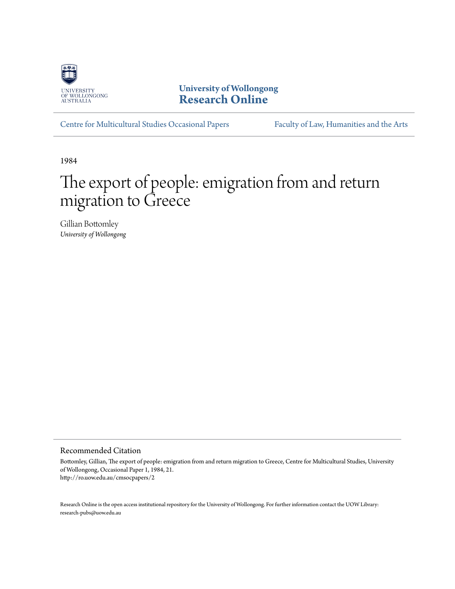

**University of Wollongong [Research Online](http://ro.uow.edu.au)**

[Centre for Multicultural Studies Occasional Papers](http://ro.uow.edu.au/cmsocpapers) [Faculty of Law, Humanities and the Arts](http://ro.uow.edu.au/lha)

1984

# The export of people: emigration from and return migration to Greece

Gillian Bottomley *University of Wollongong*

## Recommended Citation

Bottomley, Gillian, The export of people: emigration from and return migration to Greece, Centre for Multicultural Studies, University of Wollongong, Occasional Paper 1, 1984, 21. http://ro.uow.edu.au/cmsocpapers/2

Research Online is the open access institutional repository for the University of Wollongong. For further information contact the UOW Library: research-pubs@uow.edu.au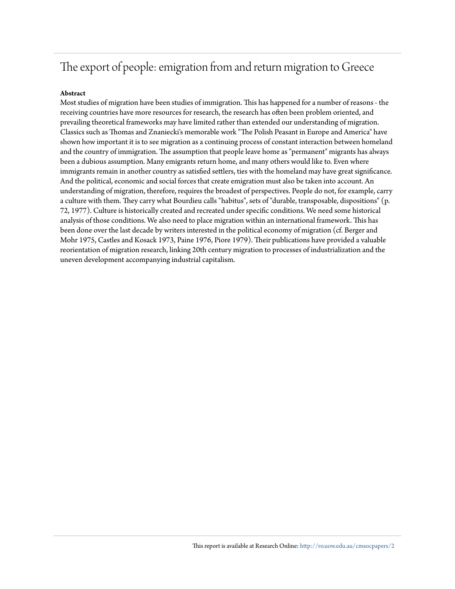## The export of people: emigration from and return migration to Greece

## **Abstract**

Most studies of migration have been studies of immigration. This has happened for a number of reasons - the receiving countries have more resources for research, the research has often been problem oriented, and prevailing theoretical frameworks may have limited rather than extended our understanding of migration. Classics such as Thomas and Znaniecki's memorable work "The Polish Peasant in Europe and America" have shown how important it is to see migration as a continuing process of constant interaction between homeland and the country of immigration. The assumption that people leave home as "permanent" migrants has always been a dubious assumption. Many emigrants return home, and many others would like to. Even where immigrants remain in another country as satisfied settlers, ties with the homeland may have great significance. And the political, economic and social forces that create emigration must also be taken into account. An understanding of migration, therefore, requires the broadest of perspectives. People do not, for example, carry a culture with them. They carry what Bourdieu calls "habitus", sets of "durable, transposable, dispositions" (p. 72, 1977). Culture is historically created and recreated under specific conditions. We need some historical analysis of those conditions. We also need to place migration within an international framework. This has been done over the last decade by writers interested in the political economy of migration (cf. Berger and Mohr 1975, Castles and Kosack 1973, Paine 1976, Piore 1979). Their publications have provided a valuable reorientation of migration research, linking 20th century migration to processes of industrialization and the uneven development accompanying industrial capitalism.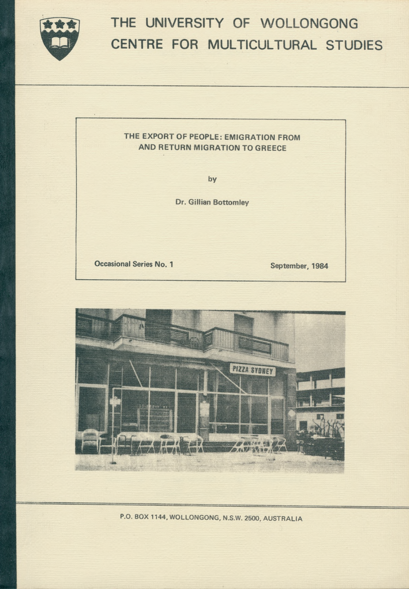

# **THE UNIVERSITY OF WOLLONGONG CENTRE FOR MULTICULTURAL STUDIES**

## **THE EXPORT OF PEOPLE: EMIGRATION FROM AND RETURN MIGRATION TO GREECE**

**by**

**Dr. Gillian Bottomley**

**Occasional Series No. 1** September, 1984



*P.O.* **BOX 1144, WOLLONGONG, N.S.W. 2500, AUSTRALIA**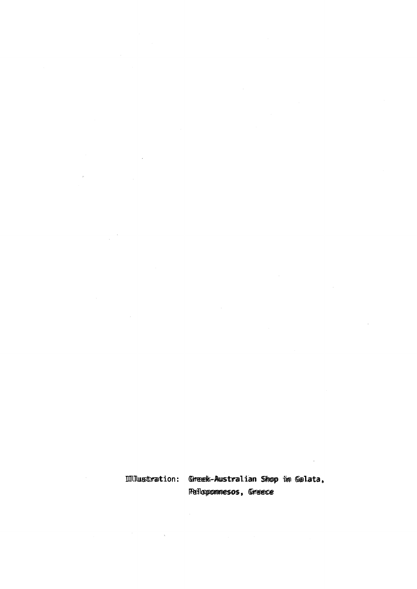11lustration: Greek-Australian Shop im Galata, Peloponnesos, Greece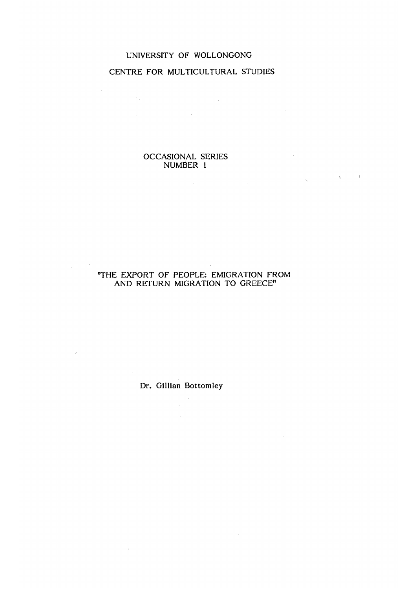## UNIVERSITY OF WOLLONGONG CENTRE FOR MULTICULTURAL STUDIES

 $\label{eq:2.1} \frac{1}{\sqrt{2}}\int_{0}^{2\pi} \frac{1}{\sqrt{2}}\left(\frac{1}{\sqrt{2}}\right)^{2} \frac{1}{\sqrt{2}}\left(\frac{1}{\sqrt{2}}\right)^{2} \frac{1}{\sqrt{2}}\left(\frac{1}{\sqrt{2}}\right)^{2} \frac{1}{\sqrt{2}}\left(\frac{1}{\sqrt{2}}\right)^{2} \frac{1}{\sqrt{2}}\left(\frac{1}{\sqrt{2}}\right)^{2} \frac{1}{\sqrt{2}}\left(\frac{1}{\sqrt{2}}\right)^{2} \frac{1}{\sqrt{2}}\left(\frac{1}{\sqrt{2}}\$ 

 $\sim 10^6$ 

 $\label{eq:1} \frac{1}{\sqrt{2\pi}}\sum_{\mathbf{k}\in\mathbb{Z}^d}\left(\frac{1}{\sqrt{2\pi}}\sum_{\mathbf{k}\in\mathbb{Z}^d}\left(\frac{1}{\sqrt{2\pi}}\sum_{\mathbf{k}\in\mathbb{Z}^d}\left(\frac{1}{\sqrt{2\pi}}\sum_{\mathbf{k}\in\mathbb{Z}^d}\left(\frac{1}{\sqrt{2\pi}}\sum_{\mathbf{k}\in\mathbb{Z}^d}\left(\frac{1}{\sqrt{2\pi}}\sum_{\mathbf{k}\in\mathbb{Z}^d}\left(\frac{1}{\sqrt{2\pi}}\sum_{\mathbf{k}\in\mathbb{Z}$ 

## OCCASIONAL SERIES NUMBER 1

## "THE EXPORT OF PEOPLE: EMIGRATION FROM AND RETURN MIGRATION TO GREECE"

 $\sim 10^{11}$ 

 $\bar{z}$ 

 $\sim 10^6$ 

Dr. Gillian Bottomley

 $\mathcal{F}^{\text{max}}_{\text{max}}$ 

 $\sim 10^{-10}$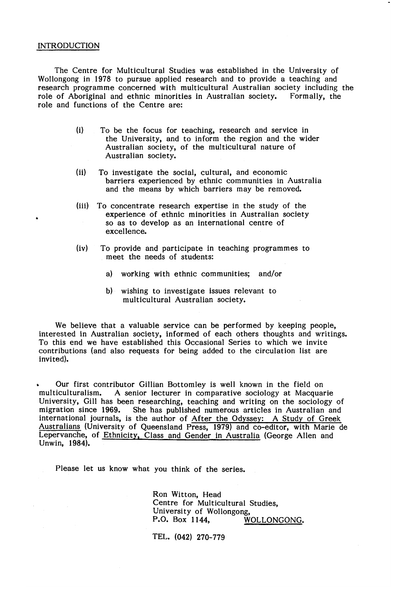### INTRODUCTION

The Centre for Multicultural Studies was established in the University of Wollongong in 1978 to pursue applied research and to provide a teaching and research programme concerned with multicultural Australian society including the role of Aboriginal and ethnic minorities in Australian society. Formally, the role of Aboriginal and ethnic minorities in Australian society. role and functions of the Centre are:

- (i) To be the focus for teaching, research and service in the University, and to inform the region and the wider Australian society, of the multicultural nature of Australian society.
- (ii) To investigate the social, cultural, and economic barriers experienced by ethnic communities in Australia and the means by which barriers may be removed.
- (iii) To concentrate research expertise in the study of the experience of ethnic minorities in Australian society so as to develop as an international centre of excellence.
- (iv) To provide and participate in teaching programmes to meet the needs of students:
	- a) working with ethnic communities; and/or
	- b) wishing to investigate issues relevant to multicultural Australian society.

We believe that a valuable service can be performed by keeping people, interested in Australian society, informed of each others thoughts and writings. To this end we have established this Occasional Series to which we invite contributions (and also requests for being added to the circulation list are invited).

» Our first contributor Gillian Bottomley is well known in the field on multiculturalism. A senior lecturer in comparative sociology at Macquarie University, Gill has been researching, teaching and writing on the sociology of migration since 1969. She has published numerous articles in Australian and She has published numerous articles in Australian and international journals, is the author of After the Odyssey: A Study of Greek Australians (University of Queensland Press, 1979) and co-editor, with Marie de Lepervanche, of Ethnicity, Class and Gender in Australia (George Allen and Unwin, 1984).

Please let us know what you think of the series.

Ron Witton, Head Centre for Multicultural Studies, University of Wollongong,<br>P.O. Box 1144. W WOLLONGONG.

TEL. (042) 270-779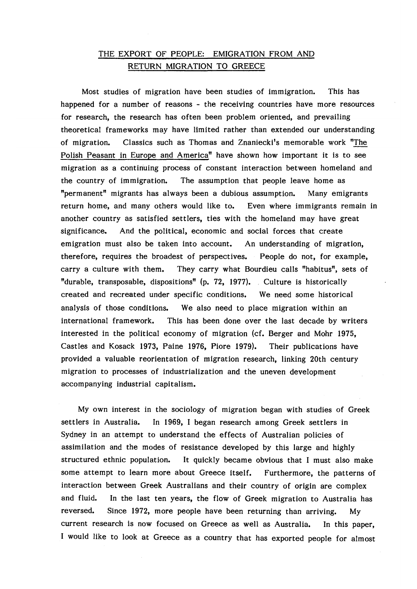## THE EXPORT OF PEOPLE: EMIGRATION FROM AND RETURN MIGRATION TO GREECE

Most studies of migration have been studies of immigration. This has happened for a number of reasons - the receiving countries have more resources for research, the research has often been problem oriented, and prevailing theoretical frameworks may have limited rather than extended our understanding of migration. Classics such as Thomas and Znaniecki's memorable work "The Polish Peasant in Europe and America" have shown how important it is to see migration as a continuing process of constant interaction between homeland and the country of immigration. The assumption that people leave home as "permanent" migrants has always been a dubious assumption. Many emigrants return home, and many others would like to. Even where immigrants remain in another country as satisfied settlers, ties with the homeland may have great significance. And the political, economic and social forces that create emigration must also be taken into account. An understanding of migration, therefore, requires the broadest of perspectives. People do not, for example, carry a culture with them. They carry what Bourdieu calls "habitus", sets of "durable, transposable, dispositions" (p. 72, 1977). Culture is historically created and recreated under specific conditions. We need some historical analysis of those conditions. We also need to place migration within an international framework. This has been done over the last decade by writers interested in the political economy of migration (cf. Berger and Mohr 1975, Castles and Kosack 1973, Paine 1976, Piore 1979). Their publications have provided a valuable reorientation of migration research, linking 20th century migration to processes of industrialization and the uneven development accompanying industrial capitalism.

My own interest in the sociology of migration began with studies of Greek settlers in Australia. In 1969, I began research among Greek settlers in Sydney in an attempt to understand the effects of Australian policies of assimilation and the modes of resistance developed by this large and highly structured ethnic population. It quickly became obvious that I must also make some attempt to learn more about Greece itself. Furthermore, the patterns of interaction between Greek Australians and their country of origin are complex and fluid. In the last ten years, the flow of Greek migration to Australia has reversed. Since 1972, more people have been returning than arriving. My current research is now focused on Greece as well as Australia. In this paper, I would like to look at Greece as a country that has exported people for almost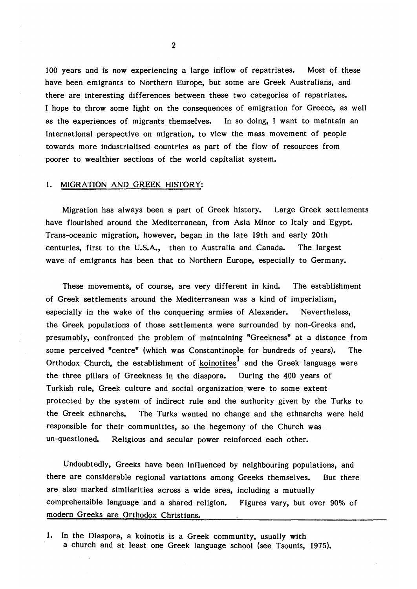100 years and is now experiencing a large inflow of repatriates. Most of these have been emigrants to Northern Europe, but some are Greek Australians, and there are interesting differences between these two categories of repatriates. I hope to throw some light on the consequences of emigration for Greece, as well as the experiences of migrants themselves. In so doing, I want to maintain an international perspective on migration, to view the mass movement of people towards more industrialised countries as part of the flow of resources from poorer to wealthier sections of the world capitalist system.

#### 1. MIGRATION AND GREEK HISTORY:

Migration has always been a part of Greek history. Large Greek settlements have flourished around the Mediterranean, from Asia Minor to Italy and Egypt. Trans-oceanic migration, however, began in the late 19th and early 20th centuries, first to the U.S.A., then to Australia and Canada. The largest wave of emigrants has been that to Northern Europe, especially to Germany.

These movements, of course, are very different in kind. The establishment of Greek settlem ents around the Mediterranean was a kind of imperialism, especially in the wake of the conquering armies of Alexander. Nevertheless, the Greek populations of those settlements were surrounded by non-Greeks and, presumably, confronted the problem of maintaining "Greekness" at a distance from some perceived "centre" (which was Constantinople for hundreds of years). The Orthodox Church, the establishment of koinotites<sup>1</sup> and the Greek language were the three pillars of Greekness in the diaspora. During the 400 years of Turkish rule, Greek culture and social organization were to some extent protected by the system of indirect rule and the authority given by the Turks to the Greek ethnarchs. The Turks wanted no change and the ethnarchs were held responsible for their communities, so the hegemony of the Church was un-questioned. Religious and secular power reinforced each other.

Undoubtedly, Greeks have been influenced by neighbouring populations, and there are considerable regional variations among Greeks themselves. But there are also marked similarities across a wide area, including a mutually comprehensible language and a shared religion. Figures vary, but over 90% of modern Greeks are Orthodox Christians.

1. In the Diaspora, a koinotis is a Greek community, usually with a church and at least one Greek language school (see Tsounis, 1975).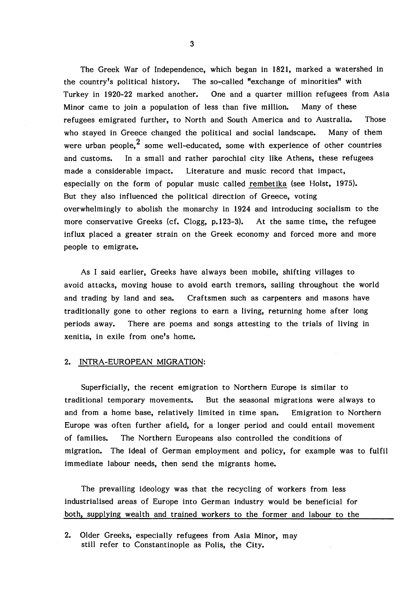The Greek War of Independence, which began in 1821, marked a watershed in the country's political history. The so-called "exchange of minorities" with Turkey in 1920-22 marked another. One and a quarter million refugees from Asia Minor came to join a population of less than five million. Many of these refugees emigrated further, to North and South America and to Australia. Those who stayed in Greece changed the political and social landscape. Many of them were urban people.<sup>2</sup> some well-educated, some with experience of other countries and customs. In a small and rather parochial city like Athens, these refugees made a considerable impact. Literature and music record that impact, especially on the form of popular music called rembetika (see Holst, 1975). But they also influenced the political direction of Greece, voting overwhelmingly to abolish the monarchy in 1924 and introducing socialism to the more conservative Greeks (cf. Clogg, p.123-3). At the same time, the refugee influx placed a greater strain on the Greek economy and forced more and more people to emigrate.

As I said earlier, Greeks have always been mobile, shifting villages to avoid attacks, moving house to avoid earth tremors, sailing throughout the world and trading by land and sea. Craftsmen such as carpenters and masons have traditionally gone to other regions to earn a living, returning home after long periods away. There are poems and songs attesting to the trials of living in xenitia, in exile from one's home.

#### 2. INTRA-EUROPEAN MIGRATION:

Superficially, the recent emigration to Northern Europe is similar to traditional temporary movements. But the seasonal migrations were always to and from a home base, relatively limited in time span. Emigration to Northern Europe was often further afield, for a longer period and could entail movement of families. The Northern Europeans also controlled the conditions of migration. The ideal of German employment and policy, for example was to fulfil immediate labour needs, then send the migrants home.

The prevailing ideology was that the recycling of workers from less industrialised areas of Europe into German industry would be beneficial for both, supplying wealth and trained workers to the former and labour to the

2. Older Greeks, especially refugees from Asia Minor, may still refer to Constantinople as Polis, the City.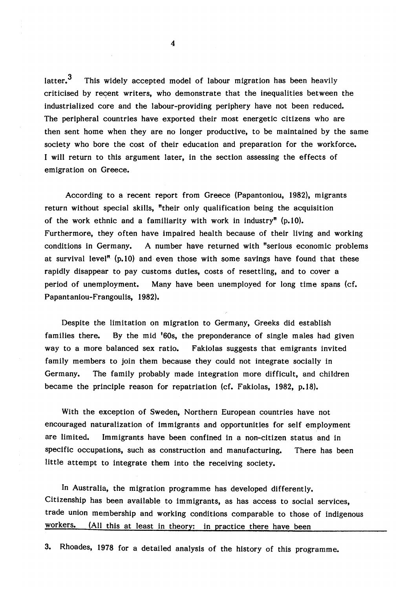This widely accepted model of labour migration has been heavily criticised by recent writers, who demonstrate that the inequalities between the industrialized core and the labour-providing periphery have not been reduced. The peripheral countries have exported their most energetic citizens who are then sent home when they are no longer productive, to be maintained by the same society who bore the cost of their education and preparation for the workforce. I will return to this argument later, in the section assessing the effects of emigration on Greece. latter.<sup>3</sup>

According to a recent report from Greece (Papantoniou, 1982), migrants return without special skills, "their only qualification being the acquisition of the work ethnic and a familiarity with work in industry"  $(p.10)$ . Furthermore, they often have impaired health because of their living and working conditions in Germany. A number have returned with "serious economic problems at survival level<sup>"</sup>  $(p, 10)$  and even those with some savings have found that these rapidly disappear to pay customs duties, costs of resettling, and to cover a period of unemployment. Many have been unemployed for long time spans (cf. Papantaniou-Frangoulis, 1982).

Despite the limitation on migration to Germany, Greeks did establish families there. By the mid '60s, the preponderance of single males had given way to a more balanced sex ratio. Fakiolas suggests that emigrants invited family members to join them because they could not integrate socially in Germany. The family probably made integration more difficult, and children became the principle reason for repatriation (cf. Fakiolas, 1982, p.18).

With the exception of Sweden, Northern European countries have not encouraged naturalization of immigrants and opportunities for self employment are limited. Immigrants have been confined in a non-citizen status and in specific occupations, such as construction and manufacturing. There has been little attempt to integrate them into the receiving society.

In Australia, the migration programme has developed differently. Citizenship has been available to immigrants, as has access to social services, trade union membership and working conditions comparable to those of indigenous workers. (All this at least in theory: in practice there have been

3. Rhoades, 1978 for a detailed analysis of the history of this programme.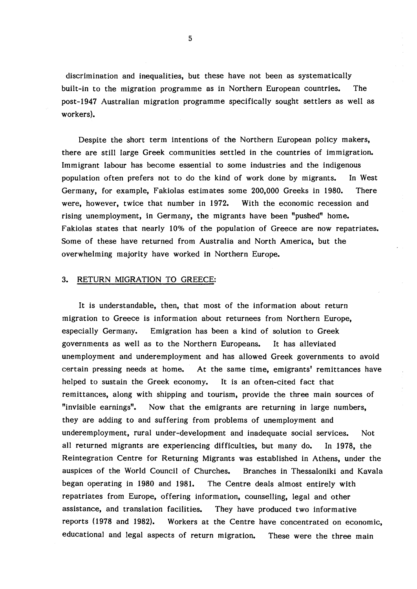discrimination and inequalities, but these have not been as systematically built-in to the migration programme as in Northern European countries. The post-1947 Australian migration programme specifically sought settlers as well as workers).

Despite the short term intentions of the Northern European policy makers, there are still large Greek communities settled in the countries of immigration. Immigrant labour has become essential to some industries and the indigenous population often prefers not to do the kind of work done by migrants. In West Germany, for example, Fakiolas estim ates some 200,000 Greeks in 1980. There were, however, twice that number in 1972. With the economic recession and rising unemployment, in Germany, the migrants have been "pushed" home. Fakiolas states that nearly 10% of the population of Greece are now repatriates. Some of these have returned from Australia and North America, but the overwhelming majority have worked in Northern Europe.

## 3. RETURN MIGRATION TO GREECE:

It is understandable, then, that most of the information about return migration to Greece is information about returnees from Northern Europe, especially Germany. Emigration has been a kind of solution to Greek governments as well as to the Northern Europeans. It has alleviated unemployment and underemployment and has allowed Greek governments to avoid certain pressing needs at home. At the same time, emigrants' remittances have helped to sustain the Greek economy. It is an often-cited fact that remittances, along with shipping and tourism, provide the three main sources of "invisible earnings". Now that the emigrants are returning in large numbers, they are adding to and suffering from problems of unemployment and underemployment, rural under-development and inadequate social services. Not all returned migrants are experiencing difficulties, but many do. In 1978, the Reintegration Centre for Returning Migrants was established in Athens, under the auspices of the World Council of Churches. Branches in Thessaloniki and Kavala began operating in 1980 and 1981. The Centre deals almost entirely with repatriates from Europe, offering information, counselling, legal and other assistance, and translation facilities. They have produced two informative reports (1978 and 1982). Workers at the Centre have concentrated on economic, educational and legal aspects of return migration. These were the three main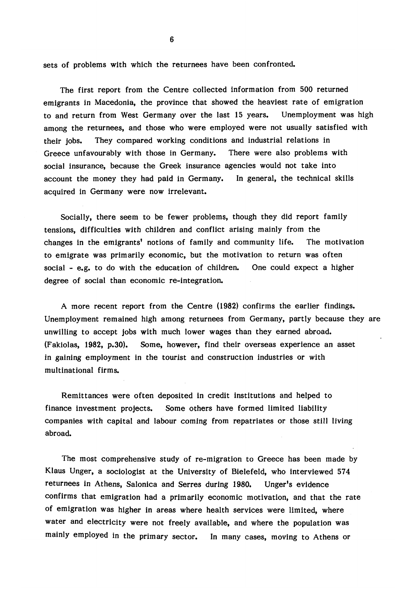sets of problems with which the returnees have been confronted.

The first report from the Centre collected information from 500 returned emigrants in Macedonia, the province that showed the heaviest rate of emigration to and return from West Germany over the last 15 years. Unemployment was high among the returnees, and those who were employed were not usually satisfied with their jobs. They compared working conditions and industrial relations in Greece unfavourably with those in Germany. There were also problems with social insurance, because the Greek insurance agencies would not take into account the money they had paid in Germany. In general, the technical skills acquired in Germany were now irrelevant.

Socially, there seem to be fewer problems, though they did report family tensions, difficulties with children and conflict arising mainly from the changes in the emigrants' notions of family and community life. The motivation to emigrate was primarily economic, but the motivation to return was often social - e.g. to do with the education of children. One could expect a higher degree of social than economic re-integration.

A more recent report from the Centre (1982) confirms the earlier findings. Unemployment remained high among returnees from Germany, partly because they are unwilling to accept jobs with much lower wages than they earned abroad. (Fakiolas, 1982, p.30). Some, however, find their overseas experience an asset in gaining employment in the tourist and construction industries or with multinational firms.

Remittances were often deposited in credit institutions and helped to finance investment projects. Some others have formed limited liability companies with capital and labour coming from repatriates or those still living abroad.

The most comprehensive study of re-migration to Greece has been made by Klaus Unger, a sociologist at the University of Bielefeld, who interviewed 574 returnees in Athens, Salonica and Serres during 1980. Unger's evidence confirms that emigration had a primarily economic motivation, and that the rate of emigration was higher in areas where health services were limited, where water and electricity were not freely available, and where the population was mainly employed in the primary sector. In many cases, moving to Athens or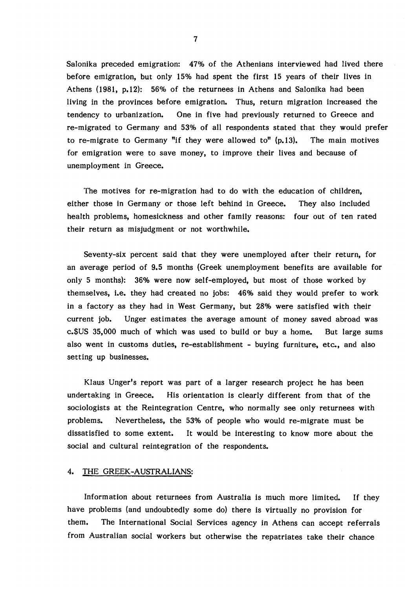Salonika preceded emigration: 47% of the Athenians interviewed had lived there before emigration, but only 15% had spent the first 15 years of their lives in Athens  $(1981, p.12)$ : 56% of the returnees in Athens and Salonika had been living in the provinces before emigration. Thus, return migration increased the tendency to urbanization. One in five had previously returned to Greece and re-migrated to Germany and 53% of all respondents stated that they would prefer to re-migrate to Germany "if they were allowed to"  $(p.13)$ . The main motives for emigration were to save money, to improve their lives and because of unemployment in Greece.

The motives for re-migration had to do with the education of children, either those in Germany or those left behind in Greece. They also included health problems, homesickness and other family reasons: four out of ten rated their return as misjudgment or not worthwhile.

Seventy-six percent said that they were unemployed after their return, for an average period of 9.5 months (Greek unemployment benefits are available for only 5 months): 36% were now self-employed, but most of those worked by themselves, i.e. they had created no jobs: 46% said they would prefer to work in a factory as they had in West Germany, but 28% were satisfied with their current job. Unger estim ates the average amount of money saved abroad was c.\$US 35,000 much of which was used to build or buy a home. But large sums also went in customs duties, re-establishment - buying furniture, etc., and also setting up businesses.

Klaus Unger's report was part of a larger research project he has been undertaking in Greece. His orientation is clearly different from that of the sociologists at the Reintegration Centre, who normally see only returnees with problems. Nevertheless, the 53% of people who would re-migrate must be dissatisfied to some extent. It would be interesting to know more about the social and cultural reintegration of the respondents.

## 4. THE GREEK-AUSTRALIANS:

Information about returnees from Australia is much more limited. If they have problems (and undoubtedly some do) there is virtually no provision for them. The International Social Services agency in Athens can accept referrals from Australian social workers but otherwise the repatriates take their chance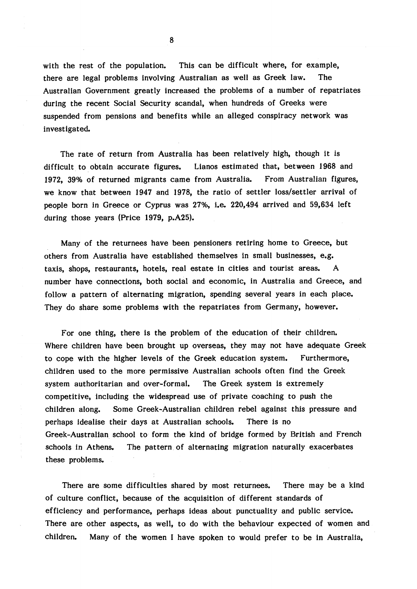with the rest of the population. This can be difficult where, for example, there are legal problems involving Australian as well as Greek law. The Australian Government greatly increased the problems of a number of repatriates during the recent Social Security scandal, when hundreds of Greeks were suspended from pensions and benefits while an alleged conspiracy network was investigated.

The rate of return from Australia has been relatively high, though it is difficult to obtain accurate figures. Lianos estim ated that, between 1968 and 1972, 39% of returned migrants came from Australia. From Australian figures, we know that between 1947 and 1978, the ratio of settler loss/settler arrival of people born in Greece or Cyprus was 27%, i.e. 220,494 arrived and 59,634 left during those years (Price 1979, p.A25).

Many of the returnees have been pensioners retiring home to Greece, but others from Australia have established themselves in small businesses, e.g. taxis, shops, restaurants, hotels, real estate in cities and tourist areas. A number have connections, both social and economic, in Australia and Greece, and follow a pattern of alternating migration, spending several years in each place. They do share some problems with the repatriates from Germany, however.

For one thing, there is the problem of the education of their children. Where children have been brought up overseas, they may not have adequate Greek to cope with the higher levels of the Greek education system. Furthermore, children used to the more permissive Australian schools often find the Greek system authoritarian and over-formal. The Greek system is extremely competitive, including the widespread use of private coaching to push the children along. Some Greek-Australian children rebel against this pressure and perhaps idealise their days at Australian schools. There is no Greek-Australian school to form the kind of bridge formed by British and French schools in Athens. The pattern of alternating migration naturally exacerbates these problems.

There are some difficulties shared by most returnees. There may be a kind of culture conflict, because of the acquisition of different standards of efficiency and performance, perhaps ideas about punctuality and public service. There are other aspects, as well, to do with the behaviour expected of women and children. Many of the women I have spoken to would prefer to be in Australia,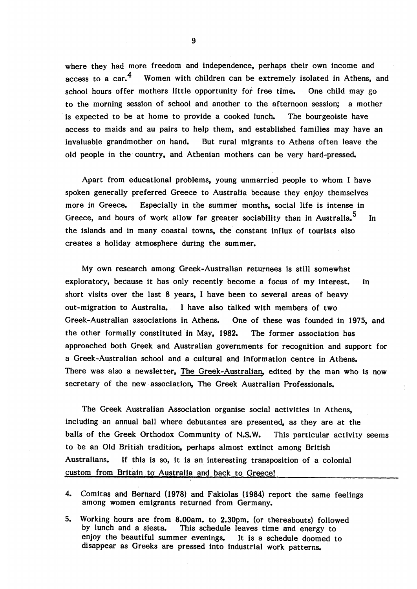where they had more freedom and independence, perhaps their own income and access to a car. $<sup>4</sup>$  Women with children can be extremely isolated in Athens, and</sup> school hours offer mothers little opportunity for free time. One child may go to the morning session of school and another to the afternoon session; a mother is expected to be at home to provide a cooked lunch. The bourgeoisie have access to maids and au pairs to help them, and established families may have an invaluable grandmother on hand. But rural migrants to Athens often leave the old people in the country, and Athenian mothers can be very hard-pressed.

Apart from educational problems, young unmarried people to whom I have spoken generally preferred Greece to Australia because they enjoy themselves more in Greece. Especially in the summer months, social life is intense in Greece, and hours of work allow far greater sociability than in Australia. $^5\quad$  In the islands and in many coastal towns, the constant influx of tourists also creates a holiday atmosphere during the summer.

My own research among Greek-Australian returnees is still somewhat exploratory, because it has only recently become a focus of my interest. In short visits over the last 8 years, I have been to several areas of heavy out-migration to Australia. I have also talked with members of two Greek-Australian associations in Athens. One of these was founded in 1975, and the other formally constituted in May, 1982. The former association has approached both Greek and Australian governments for recognition and support for a Greek-Australian school and a cultural and information centre in Athens. There was also a newsletter, The Greek-Australian, edited by the man who is now secretary of the new association, The Greek Australian Professionals.

The Greek Australian Association organise social activities in Athens, including an annual ball where debutantes are presented, as they are at the balls of the Greek Orthodox Community of N.S.W. This particular activity seems to be an Old British tradition, perhaps almost extinct among British Australians. If this is so, it is an interesting transposition of a colonial custom from Britain to Australia and back to Greece!

- 4. Comitas and Bernard (1978) and Fakiolas (1984) report the same feelings among women emigrants returned from Germany.
- 5. Working hours are from 8.00am. to 2.30pm. (or thereabouts) followed by lunch and a siesta. This schedule leaves time and energy to This schedule leaves time and energy to enjoy the beautiful summer evenings. It is a schedule doomed to disappear as Greeks are pressed into industrial work patterns.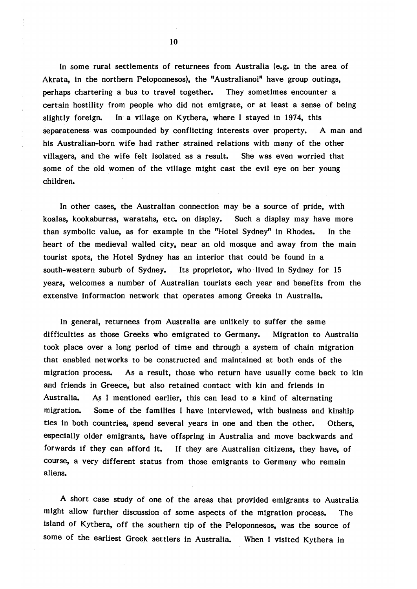In some rural settlements of returnees from Australia (e.g. in the area of Akrata, in the northern Peloponnesos), the "Australianoi" have group outings, perhaps chartering a bus to travel together. They sometimes encounter a certain hostility from people who did not emigrate, or at least a sense of being slightly foreign. In a village on Kythera, where I stayed in 1974, this separateness was compounded by conflicting interests over property. A man and his Australian-born wife had rather strained relations with many of the other villagers, and the wife felt isolated as a result. She was even worried that some of the old women of the village might cast the evil eye on her young children.

In other cases, the Australian connection may be a source of pride, with koalas, kookaburras, waratahs, etc. on display. Such a display may have more than symbolic value, as for example in the "Hotel Sydney" in Rhodes. In the heart of the medieval walled city, near an old mosque and away from the main tourist spots, the Hotel Sydney has an interior that could be found in a south-western suburb of Sydney. Its proprietor, who lived in Sydney for 15 years, welcomes a number of Australian tourists each year and benefits from the extensive information network that operates among Greeks in Australia.

In general, returnees from Australia are unlikely to suffer the same difficulties as those Greeks who emigrated to Germany. Migration to Australia took place over a long period of time and through a system of chain migration that enabled networks to be constructed and maintained at both ends of the migration process. As a result, those who return have usually come back to kin and friends in Greece, but also retained contact with kin and friends in Australia. As I mentioned earlier, this can lead to a kind of alternating migration. Some of the families I have interviewed, with business and kinship ties in both countries, spend several years in one and then the other. Others, especially older emigrants, have offspring in Australia and move backwards and forwards if they can afford it. If they are Australian citizens, they have, of course, a very different status from those emigrants to Germany who remain aliens.

A short case study of one of the areas that provided emigrants to Australia might allow further discussion of some aspects of the migration process. The island of Kythera, off the southern tip of the Peloponnesos, was the source of some of the earliest Greek settlers in Australia. When I visited Kythera in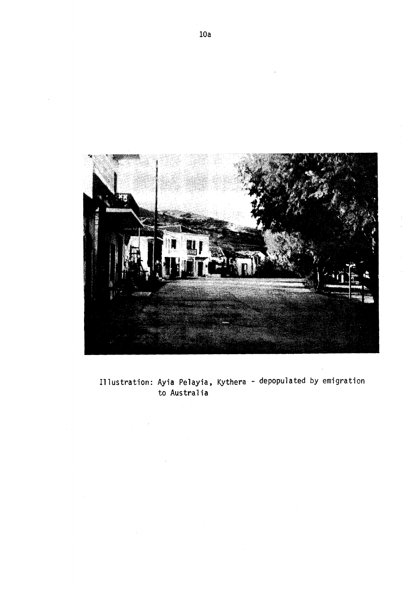

Illustration: Ayia Pelayia, Kythera - depopulated by emigration to Australia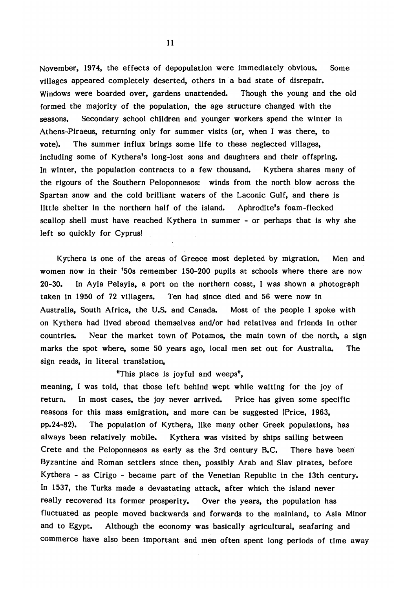November, 1974, the effects of depopulation were immediately obvious. Some villages appeared completely deserted, others in a bad state of disrepair. Windows were boarded over, gardens unattended. Though the young and the old formed the majority of the population, the age structure changed with the seasons. Secondary school children and younger workers spend the winter in Athens-Piraeus, returning only for summer visits (or, when I was there, to vote). The summer influx brings some life to these neglected villages, including some of Kythera's long-lost sons and daughters and their offspring. In winter, the population contracts to a few thousand. Kythera shares many of the rigours of the Southern Peloponnesos: winds from the north blow across the Spartan snow and the cold brilliant waters of the Laconic Gulf, and there is little shelter in the northern half of the island. Aphrodite's foam-flecked scallop shell must have reached Kythera in summer - or perhaps that is why she left so quickly for Cyprus!

Kythera is one of the areas of Greece most depleted by migration. Men and women now in their '50s remember 150-200 pupils at schools where there are now 20-30. In Ayia Pelayia, a port on the northern coast, I was shown a photograph taken in 1950 of 72 villagers. Ten had since died and 56 were now in Australia, South Africa, the U.S. and Canada. Most of the people I spoke with on Kythera had lived abroad themselves and/or had relatives and friends in other countries. Near the market town of Potamos, the main town of the north, a sign marks the spot where, some 50 years ago, local men set out for Australia. The sign reads, in literal translation,

## "This place is joyful and weeps",

meaning, I was told, that those left behind wept while waiting for the joy of return. In most cases, the joy never arrived. Price has given some specific reasons for this mass emigration, and more can be suggested (Price, 1963, pp.24-82). The population of Kythera, like many other Greek populations, has always been relatively mobile. Kythera was visited by ships sailing between Crete and the Peloponnesos as early as the 3rd century B.C. There have been Byzantine and Roman settlers since then, possibly Arab and Slav pirates, before Kythera - as Cirigo - became part of the Venetian Republic in the 13th century. In 1537, the Turks made a devastating attack, after which the island never really recovered its former prosperity. Over the years, the population has fluctuated as people moved backwards and forwards to the mainland, to Asia Minor and to Egypt. Although the economy was basically agricultural, seafaring and commerce have also been important and men often spent long periods of time away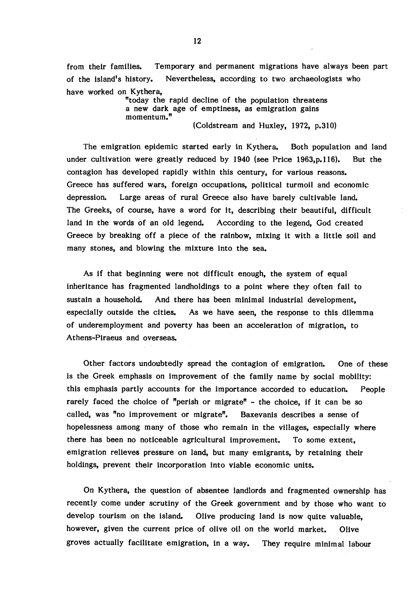from their families. Temporary and permanent migrations have always been part of the island's history. Nevertheless, according to two archaeologists who have worked on Kythera,

> "today the rapid decline of the population threatens a new dark age of emptiness, as emigration gains momentum." (Coldstream and Huxley, 1972, p.310)

The emigration epidemic started early in Kythera. Both population and land under cultivation were greatly reduced by 1940 (see Price 1963, p. 116). But the contagion has developed rapidly within this century, for various reasons. Greece has suffered wars, foreign occupations, political turmoil and economic depression. Large areas of rural Greece also have barely cultivable land. The Greeks, of course, have a word for it, describing their beautiful, difficult land in the words of an old legend. According to the legend, God created Greece by breaking off a piece of the rainbow, mixing it with a little soil and many stones, and blowing the mixture into the sea.

As if that beginning were not difficult enough, the system of equal inheritance has fragmented landholdings to a point where they often fail to sustain a household. And there has been minimal industrial development, especially outside the cities. As we have seen, the response to this dilemma of underemployment and poverty has been an acceleration of migration, to Athens-Piraeus and overseas.

Other factors undoubtedly spread the contagion of emigration. One of these is the Greek emphasis on improvement of the family name by social mobility: this emphasis partly accounts for the importance accorded to education. People rarely faced the choice of "perish or migrate" - the choice, if it can be so called, was "no improvement or migrate". Baxevanis describes a sense of hopelessness among many of those who remain in the villages, especially where there has been no noticeable agricultural improvement. To some extent, emigration relieves pressure on land, but many emigrants, by retaining their holdings, prevent their incorporation into viable economic units.

On Kythera, the question of absentee landlords and fragmented ownership has recently come under scrutiny of the Greek government and by those who want to develop tourism on the island. Olive producing land is now quite valuable, however, given the current price of olive oil on the world market. Olive groves actually facilitate emigration, in a way. They require minimal labour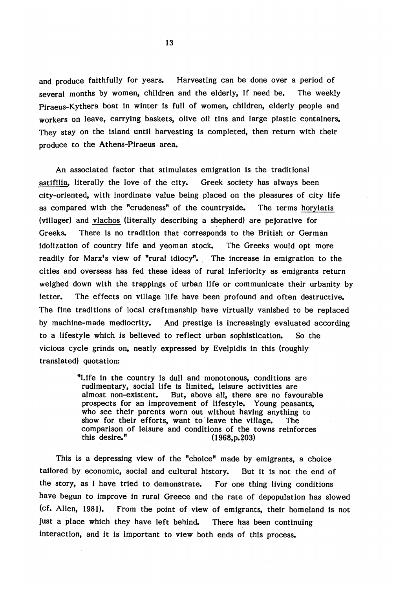and produce faithfully for years. Harvesting can be done over a period of several months by women, children and the elderly, if need be. The weekly Piraeus-Kythera boat in winter is full of women, children, elderly people and workers on leave, carrying baskets, olive oil tins and large plastic containers. They stay on the island until harvesting is completed, then return with their produce to the Athens-Piraeus area.

An associated factor that stimulates emigration is the traditional astifilia, literally the love of the city. Greek society has always been city-oriented, with inordinate value being placed on the pleasures of city life as compared with the "crudeness" of the countryside. The terms horyiatis (villager) and vlachos (literally describing a shepherd) are pejorative for Greeks. There is no tradition that corresponds to the British or German idolization of country life and yeoman stock. The Greeks would opt more readily for Marx's view of "rural idiocy". The increase in emigration to the cities and overseas has fed these ideas of rural inferiority as emigrants return weighed down with the trappings of urban life or communicate their urbanity by letter. The effects on village life have been profound and often destructive. The fine traditions of local craftmanship have virtually vanished to be replaced by machine-made mediocrity. And prestige is increasingly evaluated according to a lifestyle which is believed to reflect urban sophistication. So the vicious cycle grinds on, neatly expressed by Evelpidis in this (roughly translated) quotation:

> "Life in the country is dull and monotonous, conditions are rudimentary, social life is limited, leisure activities are almost non-existent. But, above all, there are no favor But, above all, there are no favourable prospects for an improvement of lifestyle. Young peasants, who see their parents worn out without having anything to show for their efforts, want to leave the village. The comparison of leisure and conditions of the towns reinforces<br>this desire.<sup>"</sup> (1968.p.203)  $(1968, p.203)$

This is a depressing view of the "choice" made by emigrants, a choice tailored by economic, social and cultural history. But it is not the end of the story, as I have tried to demonstrate. For one thing living conditions have begun to improve in rural Greece and the rate of depopulation has slowed (cf. Allen, 1981). From the point of view of emigrants, their homeland is not just a place which they have left behind. There has been continuing interaction, and it is important to view both ends of this process.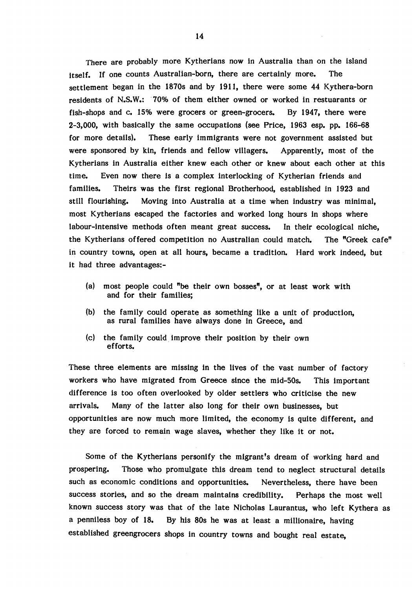There are probably more Kytherians now in Australia than on the island itself. If one counts Australian-born, there are certainly more. The settlement began in the 1870s and by 1911, there were some 44 Kythera-born residents of N.S.W.: 70% of them either owned or worked in restuarants or fish-shops and c. 15% were grocers or green-grocers. By 1947, there were 2-3,000, with basically the same occupations (see Price, 1963 esp. pp. 166-68 for more details). These early immigrants were not government assisted but were sponsored by kin, friends and fellow villagers. Apparently, most of the Kytherians in Australia either knew each other or knew about each other at this time. Even now there is a complex interlocking of Kytherian friends and families. Theirs was the first regional Brotherhood, established in 1923 and still flourishing. Moving into Australia at a time when industry was minimal, most Kytherians escaped the factories and worked long hours in shops where labour-intensive methods often meant great success. In their ecological niche, the Kytherians offered competition no Australian could match. The "Greek cafe" in country towns, open at all hours, became a tradition. Hard work indeed, but it had three advantages:-

- (a) most people could "be their own bosses", or at least work with and for their families;
- (b) the family could operate as something like a unit of production, as rural families have always done in Greece, and
- (c) the family could improve their position by their own efforts.

These three elements are missing in the lives of the vast number of factory workers who have migrated from Greece since the mid-50s. This important difference is too often overlooked by older settlers who criticise the new arrivals. Many of the latter also long for their own businesses, but opportunities are now much more limited, the economy is quite different, and they are forced to remain wage slaves, whether they like it or not.

Some of the Kytherians personify the migrant's dream of working hard and prospering. Those who promulgate this dream tend to neglect structural details such as economic conditions and opportunities. Nevertheless, there have been success stories, and so the dream maintains credibility. Perhaps the most well known success story was that of the late Nicholas Laurantus, who left Kythera as a penniless boy of 18. By his 80s he was at least a millionaire, having established greengrocers shops in country towns and bought real estate,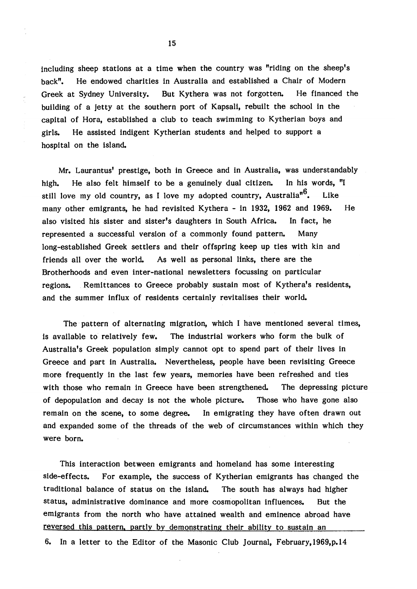including sheep stations at a time when the country was "riding on the sheep's back". He endowed charities in Australia and established a Chair of Modern Greek at Sydney University. But Kythera was not forgotten. He financed the building of a jetty at the southern port of Kapsali, rebuilt the school in the capital of Hora, established a club to teach swimming to Kytherian boys and girls. He assisted indigent Kytherian students and helped to support a hospital on the island.

Mr. Laurantus' prestige, both in Greece and in Australia, was understandably high. He also felt himself to be a genuinely dual citizen. In his words, "I still love my old country, as I love my adopted country, Australia<sup>n6</sup>. Like many other emigrants, he had revisited Kythera - in 1932, 1962 and 1969. He also visited his sister and sister's daughters in South Africa. In fact, he represented a successful version of a commonly found pattern. Many long-established Greek settlers and their offspring keep up ties with kin and friends all over the world. As well as personal links, there are the Brotherhoods and even inter-national newsletters focussing on particular regions. Remittances to Greece probably sustain most of Kythera's residents, and the summer influx of residents certainly revitalises their world.

The pattern of alternating migration, which I have mentioned several times, is available to relatively few. The industrial workers who form the bulk of Australia's Greek population simply cannot opt to spend part of their lives in Greece and part in Australia. Nevertheless, people have been revisiting Greece more frequently in the last few years, memories have been refreshed and ties with those who remain in Greece have been strengthened. The depressing picture of depopulation and decay is not the whole picture. Those who have gone also remain on the scene, to some degree. In emigrating they have often drawn out and expanded some of the threads of the web of circumstances within which they were born.

This interaction between emigrants and homeland has some interesting side-effects. For example, the success of Kytherian emigrants has changed the traditional balance of status on the island. The south has always had higher status, administrative dominance and more cosmopolitan influences. But the emigrants from the north who have attained wealth and eminence abroad have reversed this pattern, partly by demonstrating their ability to sustain an

6. In a letter to the Editor of the Masonic Club Journal, February, 1969,p. 14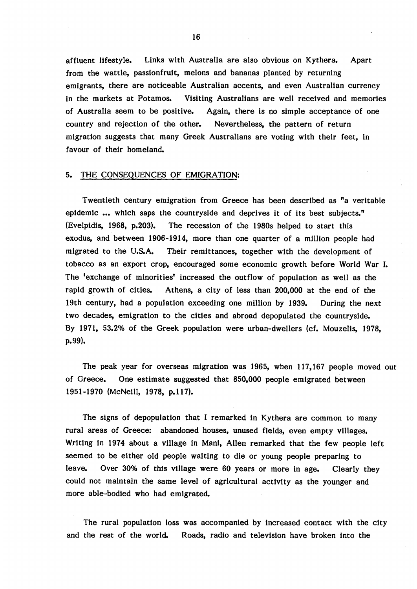affluent lifestyle. Links with Australia are also obvious on Kythera. Apart from the wattle, passionfruit, melons and bananas planted by returning emigrants, there are noticeable Australian accents, and even Australian currency in the markets at Potamos. Visiting Australians are well received and memories of Australia seem to be positive. Again, there is no simple acceptance of one country and rejection of the other. Nevertheless, the pattern of return migration suggests that many Greek Australians are voting with their feet, in favour of their homeland.

### 5. THE CONSEQUENCES OF EMIGRATION:

Twentieth century emigration from Greece has been described as "a veritable epidemic ... which saps the countryside and deprives it of its best subjects." (Evelpidis, 1968, p.203). The recession of the 1980s helped to start this exodus, and between 1906-1914, more than one quarter of a million people had migrated to the U.S.A. Their remittances, together with the development of tobacco as an export crop, encouraged some economic growth before World War I. The 'exchange of minorities' increased the outflow of population as well as the rapid growth of cities. Athens, a city of less than 200,000 at the end of the 19th century, had a population exceeding one million by 1939. During the next two decades, emigration to the cities and abroad depopulated the countryside. By 1971, 53.2% of the Greek population were urban-dwellers (cf. Mouzelis, 1978, p.99).

The peak year for overseas migration was 1965, when 117,167 people moved out of Greece. One estim ate suggested that 850,000 people emigrated between 1951-1970 (McNeill, 1978, p. 117).

The signs of depopulation that I remarked in Kythera are common to many rural areas of Greece: abandoned houses, unused fields, even empty villages. Writing in 1974 about a village in Mani, Allen remarked that the few people left seemed to be either old people waiting to die or young people preparing to leave. Over 30% of this village were 60 years or more in age. Clearly they could not maintain the same level of agricultural activity as the younger and more able-bodied who had emigrated.

The rural population loss was accompanied by increased contact with the city and the rest of the world. Roads, radio and television have broken into the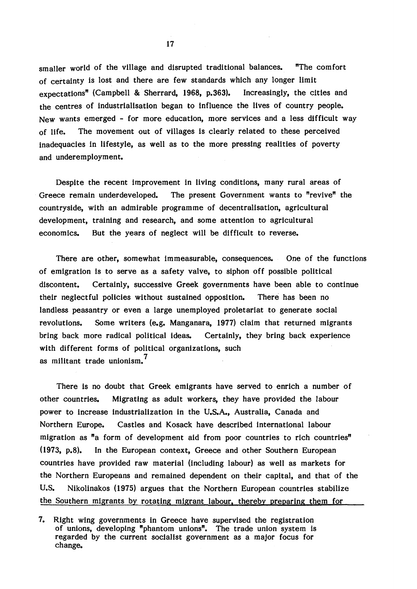smaller world of the village and disrupted traditional balances. "The comfort of certainty is lost and there are few standards which any longer limit expectations" (Campbell & Sherrard, 1968, p.363). Increasingly, the cities and the centres of industrialisation began to influence the lives of country people. New wants emerged - for more education, more services and a less difficult way of life. The movement out of villages is clearly related to these perceived inadequacies in lifestyle, as well as to the more pressing realities of poverty and underemployment.

Despite the recent improvement in living conditions, many rural areas of Greece remain underdeveloped. The present Government wants to "revive" the countryside, with an admirable programme of decentralisation, agricultural development, training and research, and some attention to agricultural economics. But the years of neglect will be difficult to reverse.

There are other, somewhat immeasurable, consequences. One of the functions of emigration is to serve as a safety valve, to siphon off possible political discontent. Certainly, successive Greek governments have been able to continue their neglectful policies without sustained opposition. There has been no landless peasantry or even a large unemployed proletariat to generate social revolutions. Some writers (e.g. Manganara, 1977) claim that returned migrants bring back more radical political ideas. Certainly, they bring back experience with different forms of political organizations, such 7 as militant trade unionism.

There is no doubt that Greek emigrants have served to enrich a number of other countries. Migrating as adult workers, they have provided the labour power to increase industrialization in the U.S.A., Australia, Canada and Northern Europe. Castles and Kosack have described international labour migration as "a form of development aid from poor countries to rich countries" (1973, p.8). In the European context, Greece and other Southern European countries have provided raw m aterial (including labour) as well as markets for the Northern Europeans and remained dependent on their capital, and that of the U.S. Nikolinakos (1975) argues that the Northern European countries stabilize the Southern migrants by rotating migrant labour, thereby preparing them for

<sup>7.</sup> Right wing governments in Greece have supervised the registration of unions, developing "phantom unions". The trade union system is regarded by the current socialist government as a major focus for change.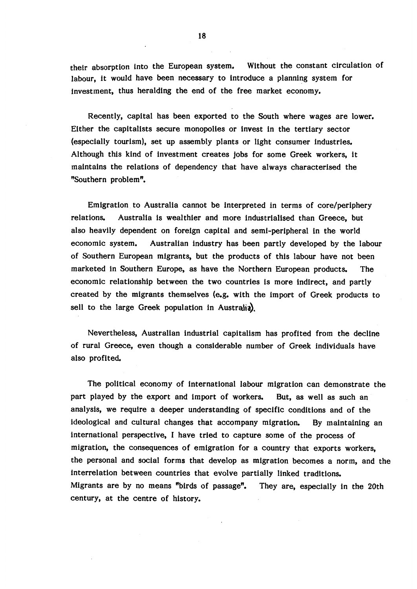their absorption into the European system. Without the constant circulation of labour, it would have been necessary to introduce a planning system for investment, thus heralding the end of the free market economy.

Recently, capital has been exported to the South where wages are lower. Either the capitalists secure monopolies or invest in the tertiary sector (especially tourism), set up assembly plants or light consumer industries. Although this kind of investment creates jobs for some Greek workers, it maintains the relations of dependency that have always characterised the "Southern problem".

Emigration to Australia cannot be interpreted in terms of core/periphery relations. Australia is wealthier and more industrialised than Greece, but also heavily dependent on foreign capital and semi-peripheral in the world economic system. Australian industry has been partly developed by the labour of Southern European migrants, but the products of this labour have not been marketed in Southern Europe, as have the Northern European products. The economic relationship between the two countries is more indirect, and partly created by the migrants themselves (e.g. with the import of Greek products to sell to the large Greek population in Australia).

Nevertheless, Australian industrial capitalism has profited from the decline of rural Greece, even though a considerable number of Greek individuals have also profited.

The political economy of international labour migration can demonstrate the part played by the export and import of workers. But, as well as such an analysis, we require a deeper understanding of specific conditions and of the ideological and cultural changes that accompany migration. By maintaining an international perspective, I have tried to capture some of the process of migration, the consequences of emigration for a country that exports workers, the personal and social forms that develop as migration becomes a norm, and the interrelation between countries that evolve partially linked traditions. Migrants are by no means "birds of passage". They are, especially in the 20th century, at the centre of history.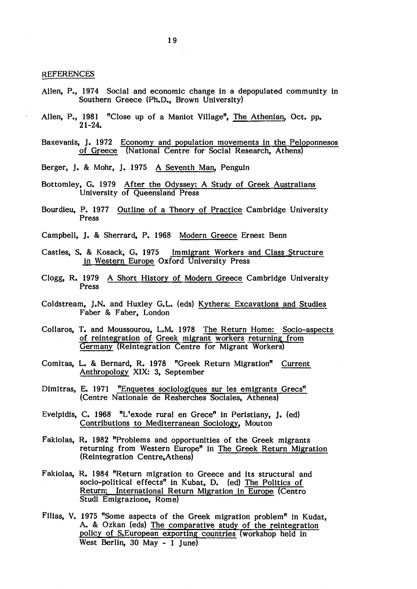#### REFERENCES

- Allen, P., 1974 Social and economic change in a depopulated community in Southern Greece (Ph.D., Brown University)
- Allen, P., 1981 "Close up of a Maniot Village", The Athenian, Oct. pp. 21-24.
- Baxevanis, J. 1972 Economy and population movements in the Peloponnesos of Greece (National Centre for Social Research, Athens)
- Berger, J. & Mohr, J. 1975 A Seventh Man, Penguin
- Bottomley, G. 1979 After the Odyssey: A Study of Greek Australians University of Queensland Press
- Bourdieu, P. 1977 Outline of a Theory of Practice Cambridge University Press
- Campbell, J. & Sherrard, P. 1968 Modern Greece Ernest Benn
- Castles, S. & Kosack, G. 1975 Immigrant Workers and Class Structure in Western Europe Oxford University Press
- Clogg, R. 1979 A Short History of Modern Greece Cambridge University Press
- Coldstream, J.N. and Huxley G.L. (eds) Kythera: Excavations and Studies Faber *&* Faber, London
- Collaros, T. and Moussourou, L.M. 1978 The Return Home: Socio-aspects of reintegration of Greek migrant workers returning from Germany (Reintegration Centre for Migrant Workers)
- Comitas, L. & Bernard, R. 1978 "Greek Return Migration" Current Anthropology XIX: 3, September
- Dimitras, E. 1971 "Enquetes sociologiques sur les emigrants Grecs" (Centre Nationale de Resherches Sociales, Athenes)
- Evelpidis, C. 1968 "L'exode rural en Grece" in Peristiany, J. (ed) Contributions to Mediterranean Sociology, Mouton
- Fakiolas, R. 1982 "Problems and opportunities of the Greek migrants returning from Western Europe" in The Greek Return Migration (Reintegration Centre,Athens)
- Fakiolas, R. 1984 "Return migration to Greece and its structural and socio-political effects" in Kubat, D. (ed) The Politics of Return: International Return Migration in Europe (Centro Studi Emigrazione, Rome)
- Filias, V. 1975 "Some aspects of the Greek migration problem" in Kudat, A. & Ozkan (eds) The comparative study of the reintegration policy of S.European exporting countries (workshop held in West Berlin, 30 May - 1 June)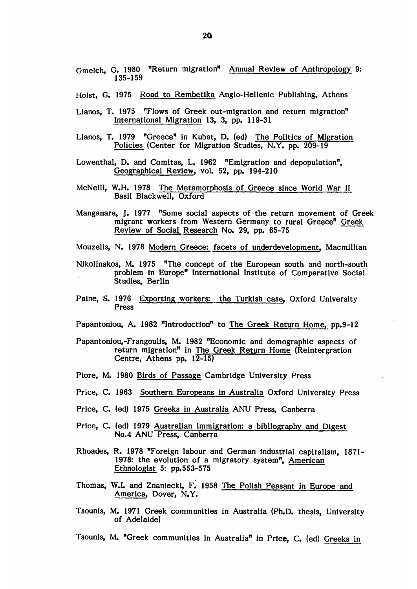Holst, G. 1975 Road to Rembetika Anglo-Hellenic Publishing, Athens

- Lianos, T. 1975 "Flows of Greek out-migration and return migration" International Migration 13, 3, pp. 119-31
- Lianos, T. 1979 "Greece" in Kubat, D. (ed) The Politics of Migration Policies (Center for Migration Studies, N.Y. pp. 209-19
- Lowenthal, D. and Comitas, L. 1962 "Emigration and depopulation", Geographical Review, vol. 52, pp. 194-210
- McNeill, W.H. 1978 The Metamorphosis of Greece since World War II Basil Blackwell, Oxford
- Manganara, J. 1977 "Some social aspects of the return movement of Greek migrant workers from Western Germany to rural Greece" Greek Review of Social Research No. 29, pp. 65-75

Mouzelis, N. 1978 Modern Greece: facets of underdevelopment, Macmillian

- Nikolinakos, M. 1975 "The concept of the European south and north-south problem in Europe" International Institute of Comparative Social Studies, Berlin
- Paine, S. 1976 Exporting workers: the Turkish case, Oxford University Press

Papantoniou, A. 1982 "Introduction" to The Greek Return Home, pp.9-12

- Papantoniou,-Frangoulis, M. 1982 "Economic and demographic aspects of return migration" in The Greek Return Home (Reintergration Centre, Athens pp. 12-15)
- Piore, M. 1980 Birds of Passage Cambridge University Press
- Price, C. 1963 Southern Europeans in Australia Oxford University Press
- Price, C. (ed) 1975 Greeks in Australia ANU Press, Canberra
- Price, C. (ed) 1979 Australian immigration: a bibliography and Digest No.4 ANU Press, Canberra
- Rhoades, R. 1978 "Foreign labour and German industrial capitalism, 1871- 1978: the evolution of a migratory system", American Ethnologist 5: pp.553-575
- Thomas, W.L and Znaniecki, F. 1958 The Polish Peasant in Europe and America, Dover, N.Y.
- Tsounis, M. 1971 Greek communities in Australia (Ph.D. thesis, University of Adelaide)

Tsounis, M. "Greek communities in Australia" in Price, C. (ed) Greeks in